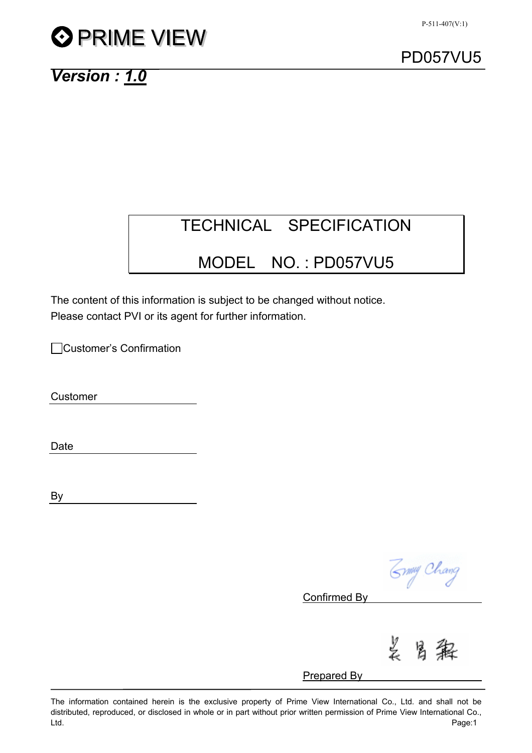# **O PRIME VIEW**



## *Version : 1.0*

# TECHNICAL SPECIFICATION

# MODEL NO. : PD057VU5

The content of this information is subject to be changed without notice. Please contact PVI or its agent for further information.

Customer's Confirmation

Customer

Date

By

Zymy Chang

Confirmed By

芝 居

Prepared By

The information contained herein is the exclusive property of Prime View International Co., Ltd. and shall not be distributed, reproduced, or disclosed in whole or in part without prior written permission of Prime View International Co., Ltd. Page:1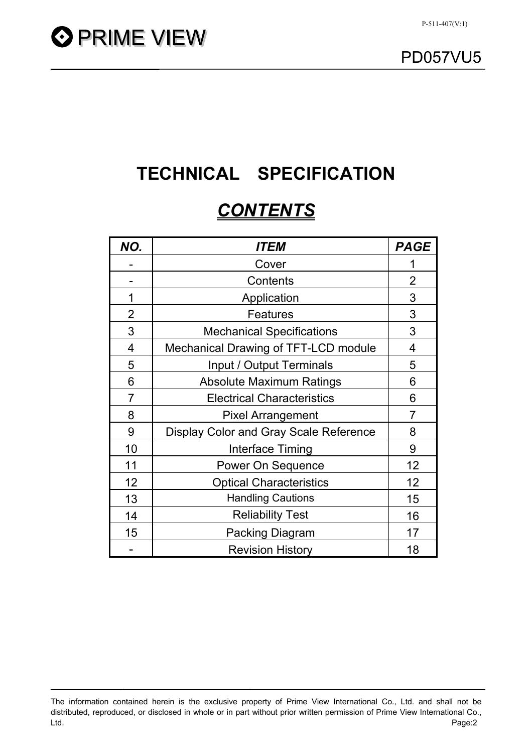

# **TECHNICAL SPECIFICATION**

# *CONTENTS*

| NO.            | <i><b>ITEM</b></i>                     | <b>PAGE</b>    |
|----------------|----------------------------------------|----------------|
|                | Cover                                  |                |
|                | Contents                               | $\overline{2}$ |
| 1              | Application                            | 3              |
| $\overline{2}$ | <b>Features</b>                        | 3              |
| 3              | <b>Mechanical Specifications</b>       | 3              |
| $\overline{4}$ | Mechanical Drawing of TFT-LCD module   | 4              |
| 5              | Input / Output Terminals               | 5              |
| 6              | <b>Absolute Maximum Ratings</b>        | 6              |
| 7              | <b>Electrical Characteristics</b>      | 6              |
| 8              | <b>Pixel Arrangement</b>               | 7              |
| 9              | Display Color and Gray Scale Reference | 8              |
| 10             | Interface Timing                       | 9              |
| 11             | <b>Power On Sequence</b>               | 12             |
| 12             | <b>Optical Characteristics</b>         | 12             |
| 13             | <b>Handling Cautions</b>               | 15             |
| 14             | <b>Reliability Test</b>                | 16             |
| 15             | <b>Packing Diagram</b>                 | 17             |
|                | <b>Revision History</b>                | 18             |

The information contained herein is the exclusive property of Prime View International Co., Ltd. and shall not be distributed, reproduced, or disclosed in whole or in part without prior written permission of Prime View International Co., Ltd. Page:2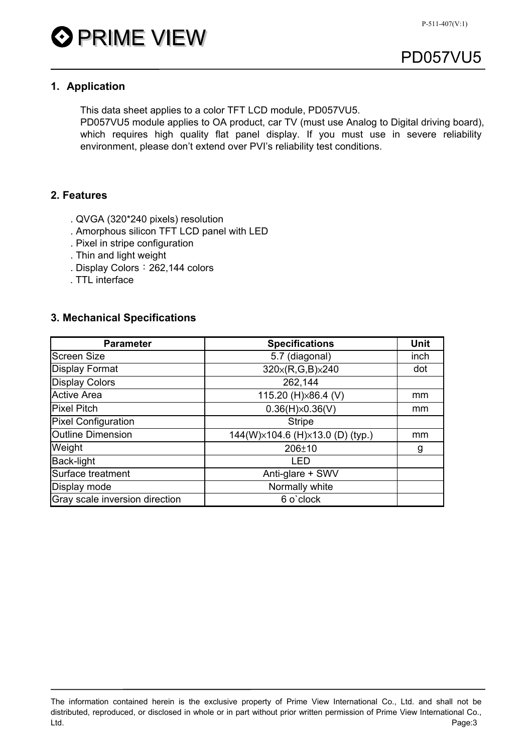

## **1. Application**

This data sheet applies to a color TFT LCD module, PD057VU5.

PD057VU5 module applies to OA product, car TV (must use Analog to Digital driving board), which requires high quality flat panel display. If you must use in severe reliability environment, please don't extend over PVI's reliability test conditions.

## **2. Features**

- . QVGA (320\*240 pixels) resolution
- . Amorphous silicon TFT LCD panel with LED
- . Pixel in stripe configuration
- . Thin and light weight
- . Display Colors: 262,144 colors
- . TTL interface

#### **3. Mechanical Specifications**

| <b>Parameter</b>               | <b>Specifications</b>            | <b>Unit</b> |
|--------------------------------|----------------------------------|-------------|
| <b>Screen Size</b>             | 5.7 (diagonal)                   | inch        |
| <b>Display Format</b>          | 320x(R,G,B)x240                  | dot         |
| <b>Display Colors</b>          | 262,144                          |             |
| <b>Active Area</b>             | 115.20 (H) × 86.4 (V)            | mm          |
| <b>Pixel Pitch</b>             | $0.36(H)\times 0.36(V)$          | mm          |
| <b>Pixel Configuration</b>     | <b>Stripe</b>                    |             |
| <b>Outline Dimension</b>       | 144(W)×104.6 (H)×13.0 (D) (typ.) | mm          |
| Weight                         | $206 + 10$                       | g           |
| Back-light                     | LED                              |             |
| Surface treatment              | Anti-glare + SWV                 |             |
| Display mode                   | Normally white                   |             |
| Gray scale inversion direction | 6 o'clock                        |             |

The information contained herein is the exclusive property of Prime View International Co., Ltd. and shall not be distributed, reproduced, or disclosed in whole or in part without prior written permission of Prime View International Co., Ltd. Page:3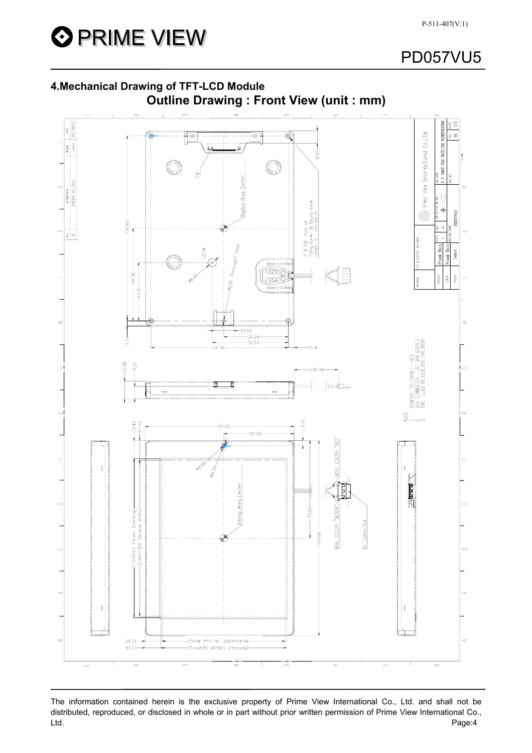



The information contained herein is the exclusive property of Prime View International Co., Ltd. and shall not be distributed, reproduced, or disclosed in whole or in part without prior written permission of Prime View International Co., Ltd. Page:4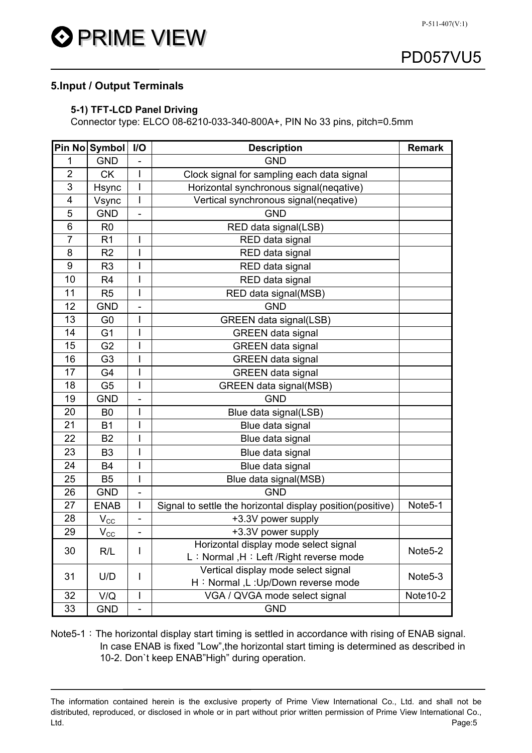

## **5.Input / Output Terminals**

#### **5-1) TFT-LCD Panel Driving**

Connector type: ELCO 08-6210-033-340-800A+, PIN No 33 pins, pitch=0.5mm

|                | Pin No Symbol  | I/O                                             | <b>Description</b>                                         | <b>Remark</b>        |  |
|----------------|----------------|-------------------------------------------------|------------------------------------------------------------|----------------------|--|
| 1              | <b>GND</b>     |                                                 | <b>GND</b>                                                 |                      |  |
| $\overline{2}$ | <b>CK</b>      | I                                               | Clock signal for sampling each data signal                 |                      |  |
| 3              | Hsync          | I                                               | Horizontal synchronous signal(neqative)                    |                      |  |
| 4              | Vsync          | I                                               | Vertical synchronous signal(neqative)                      |                      |  |
| 5              | <b>GND</b>     | ÷,                                              | <b>GND</b>                                                 |                      |  |
| 6              | R <sub>0</sub> |                                                 | RED data signal(LSB)                                       |                      |  |
| 7              | R <sub>1</sub> | I                                               | RED data signal                                            |                      |  |
| 8              | R <sub>2</sub> | Ī                                               | RED data signal                                            |                      |  |
| 9              | R <sub>3</sub> |                                                 | RED data signal                                            |                      |  |
| 10             | R <sub>4</sub> | I                                               | RED data signal                                            |                      |  |
| 11             | R <sub>5</sub> | I                                               | RED data signal(MSB)                                       |                      |  |
| 12             | <b>GND</b>     |                                                 | <b>GND</b>                                                 |                      |  |
| 13             | G <sub>0</sub> |                                                 | <b>GREEN data signal(LSB)</b>                              |                      |  |
| 14             | G <sub>1</sub> | Ī                                               | <b>GREEN</b> data signal                                   |                      |  |
| 15             | G <sub>2</sub> |                                                 | <b>GREEN</b> data signal                                   |                      |  |
| 16             | G <sub>3</sub> | I                                               | <b>GREEN</b> data signal                                   |                      |  |
| 17             | G4             |                                                 | <b>GREEN</b> data signal                                   |                      |  |
| 18             | G <sub>5</sub> | I                                               | <b>GREEN data signal(MSB)</b>                              |                      |  |
| 19             | <b>GND</b>     | -                                               | <b>GND</b>                                                 |                      |  |
| 20             | B <sub>0</sub> | I                                               | Blue data signal(LSB)                                      |                      |  |
| 21             | <b>B1</b>      |                                                 | Blue data signal                                           |                      |  |
| 22             | <b>B2</b>      |                                                 | Blue data signal                                           |                      |  |
| 23             | B <sub>3</sub> | $\overline{\phantom{a}}$                        | Blue data signal                                           |                      |  |
| 24             | <b>B4</b>      | I                                               | Blue data signal                                           |                      |  |
| 25             | B <sub>5</sub> | Ī                                               | Blue data signal(MSB)                                      |                      |  |
| 26             | <b>GND</b>     | ÷                                               | <b>GND</b>                                                 |                      |  |
| 27             | <b>ENAB</b>    | $\mathsf{l}$                                    | Signal to settle the horizontal display position(positive) | Note5-1              |  |
| 28             | $V_{\rm CC}$   | -                                               | +3.3V power supply                                         |                      |  |
| 29             | $V_{\rm CC}$   | -                                               | +3.3V power supply                                         |                      |  |
|                |                |                                                 | Horizontal display mode select signal                      |                      |  |
| 30             | R/L            | I                                               | L: Normal, H: Left / Right reverse mode                    | Note5-2              |  |
|                |                | Vertical display mode select signal<br>U/D<br>ı |                                                            | Note <sub>5</sub> -3 |  |
| 31             |                |                                                 | H: Normal, L: Up/Down reverse mode                         |                      |  |
| 32             | V/Q            | I                                               | VGA / QVGA mode select signal                              | Note 10-2            |  |
| 33             | <b>GND</b>     | -                                               | <b>GND</b>                                                 |                      |  |

Note5-1: The horizontal display start timing is settled in accordance with rising of ENAB signal. In case ENAB is fixed "Low",the horizontal start timing is determined as described in 10-2. Don`t keep ENAB"High" during operation.

The information contained herein is the exclusive property of Prime View International Co., Ltd. and shall not be distributed, reproduced, or disclosed in whole or in part without prior written permission of Prime View International Co., Ltd. Page:5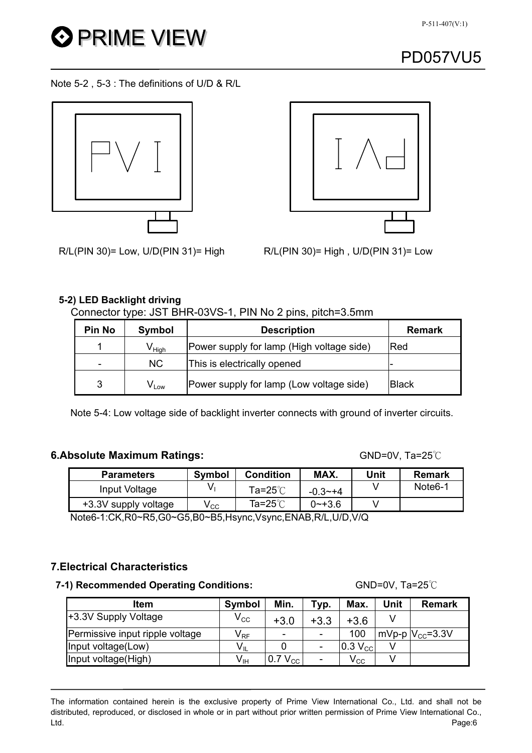

Note 5-2 , 5-3 : The definitions of U/D & R/L





 $R/L(PIN 30)$  = Low, U/D(PIN 31) = High  $R/L(PIN 30)$  = High, U/D(PIN 31) = Low

### **5-2) LED Backlight driving**

Connector type: JST BHR-03VS-1, PIN No 2 pins, pitch=3.5mm

| <b>Pin No</b> | Symbol                       | <b>Description</b>                        | Remark       |
|---------------|------------------------------|-------------------------------------------|--------------|
|               | $\mathsf{V}_{\mathsf{High}}$ | Power supply for lamp (High voltage side) | Red          |
| -             | NC.                          | This is electrically opened               |              |
| 3             | $V_{Low}$                    | Power supply for lamp (Low voltage side)  | <b>Black</b> |

Note 5-4: Low voltage side of backlight inverter connects with ground of inverter circuits.

## **6.Absolute Maximum Ratings:**  $\bullet$  GND=0V, Ta=25°C

| <b>Parameters</b>    | Symbol | Condition         | MAX.        | Jnit | Remark               |
|----------------------|--------|-------------------|-------------|------|----------------------|
| Input Voltage        |        | Ta=25℃            | $-0.3 - +4$ |      | Note <sub>6</sub> -1 |
| +3.3V supply voltage | v cc   | Ta=25 $\degree$ C | $0$ ~+3.6   |      |                      |

Note6-1:CK,R0~R5,G0~G5,B0~B5,Hsync,Vsync,ENAB,R/L,U/D,V/Q

## **7.Electrical Characteristics**

#### **7-1) Recommended Operating Conditions:** GND=0V, Ta=25°C

Item | Symbol | Min. | Typ. | Max. | Unit | Remark +3.3V Supply Voltage  $V_{\text{CC}}$   $V_{\text{CC}}$   $+3.0$   $+3.3$   $+3.6$  V Permissive input ripple voltage  $|V_{RF}| = | - | - 100 | mV_{PP} | V_{CC} = 3.3V$ Input voltage(Low)  $V_{\parallel}$  | 0 | -  $\vert 0.3 V_{\odot} \vert$  V Input voltage(High)  $V_{\text{IH}}$  | 0.7 V<sub>CC</sub> | - | V<sub>CC</sub> | V

The information contained herein is the exclusive property of Prime View International Co., Ltd. and shall not be distributed, reproduced, or disclosed in whole or in part without prior written permission of Prime View International Co., Ltd. Page:6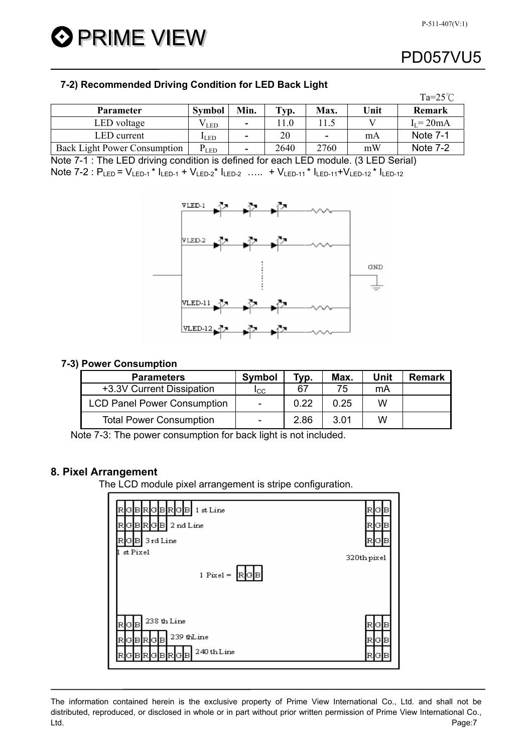**O** PRIME VIEW

# PD057VU5

 $\sim 25$ 

### **7-2) Recommended Driving Condition for LED Back Light**

|                                     |                             |      |      |                          |      | 1a=25 C         |
|-------------------------------------|-----------------------------|------|------|--------------------------|------|-----------------|
| <b>Parameter</b>                    | <b>Symbol</b>               | Min. | Typ. | Max.                     | Unit | Remark          |
| LED voltage                         | ⊄LED                        | ۰.   |      |                          |      | $I_I = 20mA$    |
| LED current                         | $I$ LED                     | ۰    | 20   | $\overline{\phantom{0}}$ | mA   | <b>Note 7-1</b> |
| <b>Back Light Power Consumption</b> | $\mathrm{P}_{\mathrm{LED}}$ | ۰    | 2640 | 2760                     | mW   | Note 7-2        |

Note 7-1 : The LED driving condition is defined for each LED module. (3 LED Serial) Note 7-2 :  $P_{LED} = V_{LED-1} * I_{LED-1} + V_{LED-2} * I_{LED-2}$  ….. +  $V_{LED-11} * I_{LED-11} + V_{LED-12} * I_{LED-12}$ 



#### **7-3) Power Consumption**

| <b>Parameters</b>                  | Symbol                   | Typ. | Max. | Unit | <b>Remark</b> |
|------------------------------------|--------------------------|------|------|------|---------------|
| +3.3V Current Dissipation          | Icc                      | 67   | 75   | mA   |               |
| <b>LCD Panel Power Consumption</b> | $\overline{\phantom{a}}$ | 0.22 | 0.25 | W    |               |
| <b>Total Power Consumption</b>     | ۰                        | 2.86 | 3.01 | w    |               |

Note 7-3: The power consumption for back light is not included.

### **8. Pixel Arrangement**

The LCD module pixel arrangement is stripe configuration.

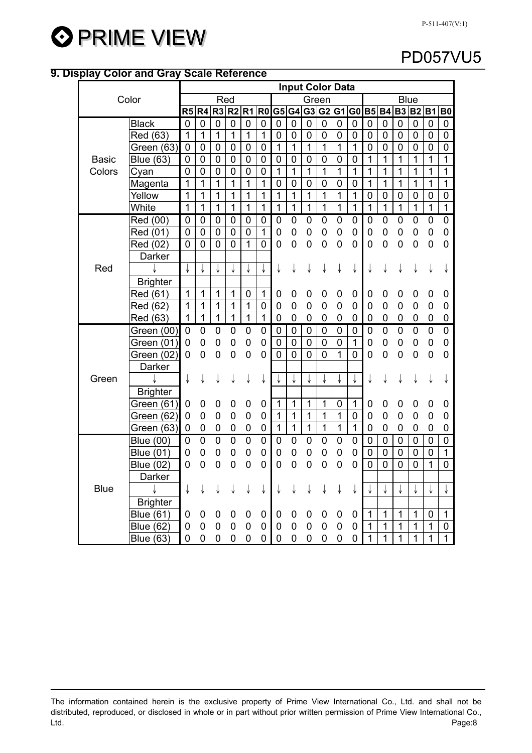

### **9. Display Color and Gray Scale Reference**

| Color        |                  |                |                |                |                   |                |                |                |                  |                  | <b>Input Color Data</b> |                  |                |                |                |                |                |                |                |
|--------------|------------------|----------------|----------------|----------------|-------------------|----------------|----------------|----------------|------------------|------------------|-------------------------|------------------|----------------|----------------|----------------|----------------|----------------|----------------|----------------|
|              |                  |                |                | Red            |                   |                |                |                |                  |                  | Green                   |                  |                |                |                |                | <b>Blue</b>    |                |                |
|              |                  |                |                |                | R5 R4 R3 R2 R1 R0 |                |                |                |                  |                  | G5 G4 G3 G2 G1 G0 B5 B4 |                  |                |                |                |                | B3 B2          | <b>B1</b>      | <b>B0</b>      |
|              | <b>Black</b>     | $\mathbf 0$    | 0              | $\mathbf 0$    | $\mathbf 0$       | $\mathbf 0$    | $\mathbf 0$    | $\mathbf 0$    | $\boldsymbol{0}$ | $\boldsymbol{0}$ | $\pmb{0}$               | $\mathbf 0$      | $\mathbf 0$    | $\mathbf 0$    | $\mathbf 0$    | $\mathbf 0$    | $\mathbf 0$    | $\mathbf 0$    | $\pmb{0}$      |
|              | Red (63)         | $\mathbf{1}$   | $\overline{1}$ | 1              | $\mathbf 1$       | $\mathbf{1}$   | $\mathbf{1}$   | $\mathbf 0$    | $\pmb{0}$        | $\mathbf 0$      | $\mathbf 0$             | $\mathbf 0$      | $\mathbf 0$    | $\mathbf 0$    | $\mathbf 0$    | $\mathbf 0$    | $\mathbf 0$    | $\mathbf 0$    | $\mathbf 0$    |
|              | Green (63)       | $\mathbf 0$    | $\mathbf 0$    | $\mathbf 0$    | $\mathbf 0$       | $\overline{0}$ | $\overline{0}$ | $\mathbf{1}$   | $\overline{1}$   | 1                | 1                       | $\overline{1}$   | 1              | $\overline{0}$ | $\mathbf 0$    | $\mathbf 0$    | $\overline{0}$ | $\overline{0}$ | $\mathbf 0$    |
| <b>Basic</b> | <b>Blue (63)</b> | $\mathbf 0$    | $\mathbf 0$    | $\mathbf 0$    | $\mathbf 0$       | $\overline{0}$ | $\mathbf 0$    | $\mathbf 0$    | $\mathbf 0$      | $\mathbf 0$      | 0                       | $\mathbf 0$      | $\overline{0}$ | $\overline{1}$ | 1              | 1              | 1              | 1              | 1              |
| Colors       | Cyan             | $\overline{0}$ | $\mathbf 0$    | $\mathbf 0$    | $\mathbf 0$       | 0              | $\mathbf 0$    | $\mathbf{1}$   | 1                | $\mathbf{1}$     | $\overline{1}$          | 1                | $\overline{1}$ | 1              | 1              | 1              | 1              | 1              | $\mathbf{1}$   |
|              | Magenta          | $\mathbf{1}$   | 1              | 1              | 1                 | 1              | 1              | 0              | 0                | 0                | 0                       | $\mathbf 0$      | 0              | 1              | 1              | 1              | 1              | 1              | $\overline{1}$ |
|              | Yellow           | 1              | 1              | 1              | 1                 | 1              | 1              | $\overline{1}$ | 1                | 1                | $\overline{1}$          | 1                | 1              | $\mathbf 0$    | 0              | 0              | 0              | 0              | $\mathbf 0$    |
|              | White            | $\mathbf{1}$   | 1              | 1              | 1                 | $\mathbf 1$    | 1              | $\mathbf 1$    | $\mathbf{1}$     | 1                | 1                       | $\mathbf{1}$     | $\mathbf{1}$   | $\overline{1}$ | $\mathbf 1$    | $\mathbf{1}$   | 1              | $\overline{1}$ | $\mathbf{1}$   |
|              | Red (00)         | $\overline{0}$ | 0              | 0              | 0                 | 0              | 0              | $\mathbf 0$    | 0                | 0                | 0                       | 0                | 0              | $\mathbf 0$    | 0              | 0              | 0              | $\mathbf 0$    | $\mathbf 0$    |
|              | Red (01)         | $\overline{0}$ | 0              | 0              | 0                 | 0              | $\mathbf 1$    | 0              | 0                | 0                | 0                       | 0                | 0              | $\mathbf 0$    | 0              | 0              | 0              | 0              | 0              |
|              | Red (02)         | 0              | 0              | 0              | 0                 | 1              | 0              | 0              | 0                | $\mathbf 0$      | $\overline{0}$          | $\overline{0}$   | $\overline{0}$ | $\overline{0}$ | $\overline{0}$ | $\mathbf 0$    | 0              | $\mathbf 0$    | $\overline{0}$ |
|              | Darker           |                |                |                |                   |                |                |                |                  |                  |                         |                  |                |                |                |                |                |                |                |
| Red          |                  | ↓              | ↓              | ↓              |                   |                |                |                |                  |                  |                         |                  | ↓              |                |                |                |                |                |                |
|              | <b>Brighter</b>  |                |                |                |                   |                |                |                |                  |                  |                         |                  |                |                |                |                |                |                |                |
|              | Red (61)         | 1              | 1              | 1              | 1                 | 0              | 1              | 0              | 0                | 0                | 0                       | 0                | 0              | 0              | 0              | 0              | 0              | 0              | 0              |
|              | Red (62)         | 1              | $\overline{1}$ | $\mathbf 1$    | 1                 | $\overline{1}$ | $\mathbf 0$    | 0              | 0                | 0                | 0                       | 0                | 0              | 0              | 0              | 0              | 0              | 0              | 0              |
|              | Red (63)         | 1              | $\overline{1}$ | $\mathbf{1}$   | $\overline{1}$    | $\mathbf{1}$   | $\mathbf{1}$   | $\mathbf 0$    | 0                | $\mathbf 0$      | 0                       | 0                | 0              | $\mathbf 0$    | 0              | 0              | 0              | 0              | 0              |
|              | Green (00)       | $\mathbf 0$    | $\mathbf 0$    | $\mathbf 0$    | $\mathbf 0$       | $\mathbf 0$    | $\mathbf 0$    | 0              | $\mathbf 0$      | $\pmb{0}$        | $\pmb{0}$               | $\boldsymbol{0}$ | $\pmb{0}$      | $\mathbf 0$    | $\overline{0}$ | $\overline{0}$ | $\overline{0}$ | $\overline{0}$ | $\overline{0}$ |
|              | Green (01)       | 0              | 0              | 0              | 0                 | 0              | 0              | 0              | 0                | $\mathbf 0$      | $\mathbf 0$             | $\mathbf 0$      | 1              | 0              | 0              | $\overline{0}$ | 0              | 0              | 0              |
|              | Green (02)       | 0              | $\overline{0}$ | $\overline{0}$ | $\mathbf 0$       | 0              | 0              | $\overline{0}$ | $\overline{0}$   | $\overline{0}$   | $\overline{0}$          | $\mathbf{1}$     | $\overline{0}$ | $\overline{0}$ | 0              | $\overline{0}$ | 0              | 0              | 0              |
|              | Darker           |                |                |                |                   |                |                |                |                  |                  |                         |                  |                |                |                |                |                |                |                |
| Green        |                  | ↓              |                |                |                   |                |                |                |                  |                  | ↓                       | ↓                | ↓              | ↓              |                |                |                |                |                |
|              | <b>Brighter</b>  |                |                |                |                   |                |                |                |                  |                  |                         |                  |                |                |                |                |                |                |                |
|              | Green (61)       | 0              | 0              | 0              | 0                 | 0              | 0              | 1              | 1                | 1                | $\mathbf 1$             | $\mathbf 0$      | $\mathbf 1$    | 0              | 0              | 0              | 0              | 0              | 0              |
|              | Green (62)       | 0              | 0              | 0              | $\mathbf 0$       | 0              | 0              | $\mathbf{1}$   | $\mathbf{1}$     | $\mathbf 1$      | 1                       | $\mathbf{1}$     | $\mathbf 0$    | 0              | 0              | 0              | 0              | 0              | 0              |
|              | Green (63)       | 0              | 0              | 0              | 0                 | 0              | 0              | $\mathbf{1}$   | $\overline{1}$   | $\mathbf{1}$     | $\mathbf 1$             | $\mathbf{1}$     | $\mathbf{1}$   | $\mathbf 0$    | 0              | 0              | 0              | 0              | 0              |
|              | <b>Blue (00)</b> | $\overline{0}$ | $\overline{0}$ | $\overline{0}$ | $\mathbf 0$       | $\overline{0}$ | $\mathbf 0$    | $\mathbf 0$    | 0                | 0                | 0                       | 0                | 0              | $\mathbf 0$    | $\mathbf 0$    | $\mathbf 0$    | $\mathbf 0$    | $\mathbf 0$    | $\pmb{0}$      |
|              | <b>Blue (01)</b> | 0              | 0              | 0              | 0                 | 0              | 0              | 0              | $\overline{0}$   | 0                | 0                       | 0                | 0              | 0              | $\mathbf 0$    | $\mathbf 0$    | $\mathbf 0$    | $\mathbf 0$    | $\overline{1}$ |
|              | <b>Blue (02)</b> | $\overline{0}$ | $\overline{0}$ | $\overline{0}$ | $\overline{0}$    | 0              | 0              | $\overline{0}$ | 0                | $\mathbf 0$      | 0                       | 0                | 0              | $\overline{0}$ | $\overline{0}$ | $\overline{0}$ | $\overline{0}$ | 1              | 0              |
|              | Darker           |                |                |                |                   |                |                |                |                  |                  |                         |                  |                |                |                |                |                |                |                |
| <b>Blue</b>  |                  | ↓              |                |                |                   |                |                |                |                  |                  |                         |                  |                |                | ↓              | ↓              | ↓              | ↓              | ↓              |
|              | <b>Brighter</b>  |                |                |                |                   |                |                |                |                  |                  |                         |                  |                |                |                |                |                |                |                |
|              | <b>Blue (61)</b> | 0              | 0              | 0              | 0                 | 0              | 0              | 0              | 0                | 0                | 0                       | 0                | 0              | 1              | 1              | 1              | 1              | $\mathbf 0$    | $\mathbf{1}$   |
|              | <b>Blue (62)</b> | 0              | 0              | 0              | 0                 | 0              | 0              | 0              | 0                | 0                | 0                       | 0                | 0              | 1              | 1              | 1              | 1              | 1              | $\mathbf 0$    |
|              | <b>Blue (63)</b> | 0              | 0              | 0              | 0                 | 0              | 0              | 0              | 0                | 0                | 0                       | 0                | 0              | 1              | 1              | 1              | 1              | 1              | 1              |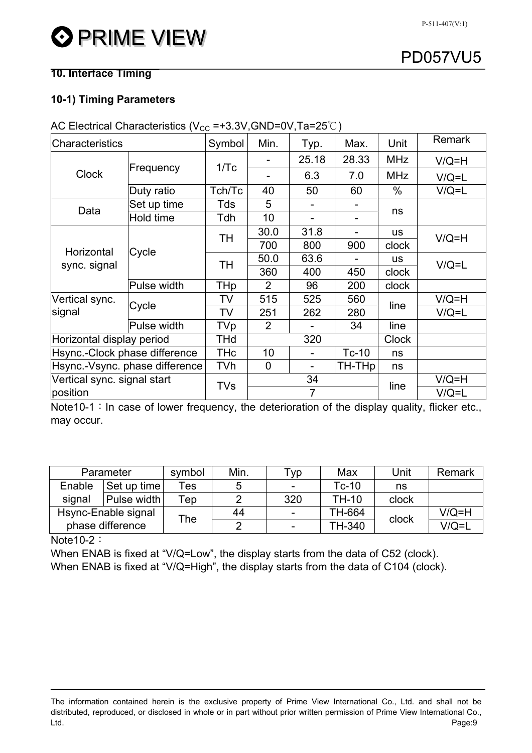## **10. Interface Timing**

## **10-1) Timing Parameters**

| Characteristics                |             | Symbol | Min.           | Typ.                     | Max.           | Unit         | <b>Remark</b> |
|--------------------------------|-------------|--------|----------------|--------------------------|----------------|--------------|---------------|
|                                |             | 1/Tc   |                | 25.18                    | 28.33          | <b>MHz</b>   | $V/Q=H$       |
| <b>Clock</b>                   | Frequency   |        |                | 6.3                      | 7.0            | <b>MHz</b>   | $V/Q = L$     |
|                                | Duty ratio  | Tch/Tc | 40             | 50                       | 60             | $\%$         | $V/Q = L$     |
| Data                           | Set up time | Tds    | 5              |                          | $\blacksquare$ |              |               |
|                                | Hold time   | Tdh    | 10             |                          |                | ns           |               |
|                                |             | TΗ     | 30.0           | 31.8                     |                | us           | $V/Q=H$       |
| Horizontal<br>sync. signal     | Cycle       |        | 700            | 800                      | 900            | clock        |               |
|                                |             | TΗ     | 50.0           | 63.6                     |                | <b>us</b>    | $V/Q = L$     |
|                                |             |        | 360            | 400                      | 450            | clock        |               |
|                                | Pulse width | THp    | $\overline{2}$ | 96                       | 200            | clock        |               |
| Vertical sync.                 | Cycle       | TV     | 515            | 525                      | 560            | line         | $V/Q=H$       |
| signal                         |             | TV     | 251            | 262                      | 280            |              | $V/Q = L$     |
|                                | Pulse width | TVp    | $\overline{2}$ |                          | 34             | line         |               |
| Horizontal display period      |             | THd    |                | 320                      |                | <b>Clock</b> |               |
| Hsync.-Clock phase difference  |             | THc    | 10             | $\qquad \qquad -$        | $Tc-10$        | ns           |               |
| Hsync.-Vsync. phase difference |             | TVh    | $\mathbf 0$    | $\overline{\phantom{0}}$ | TH-THp         | ns           |               |
| Vertical sync. signal start    |             | TVs    |                | 34                       | line           | $V/Q=H$      |               |
| position                       |             |        |                | 7                        |                | $V/Q = L$    |               |

AC Electrical Characteristics ( $V_{CC} = +3.3V$ , GND=0V, Ta=25°C)

Note10-1: In case of lower frequency, the deterioration of the display quality, flicker etc., may occur.

|                  | Parameter           | symbol    | Min. | Гур                      | Max          | Unit  | Remark    |
|------------------|---------------------|-----------|------|--------------------------|--------------|-------|-----------|
| Enable           | Set up time         | Tes       | 5    | -                        | $Tc-10$      | ns    |           |
| signal           | Pulse width         | ™ер       |      | 320                      | <b>TH-10</b> | clock |           |
|                  | Hsync-Enable signal | $\tau$ he | 44   |                          | TH-664       | clock | $V/Q=H$   |
| phase difference |                     |           | ◠    | $\overline{\phantom{a}}$ | TH-340       |       | $V/Q = L$ |

Note  $10-2$ :

When ENAB is fixed at "V/Q=Low", the display starts from the data of C52 (clock). When ENAB is fixed at "V/Q=High", the display starts from the data of C104 (clock).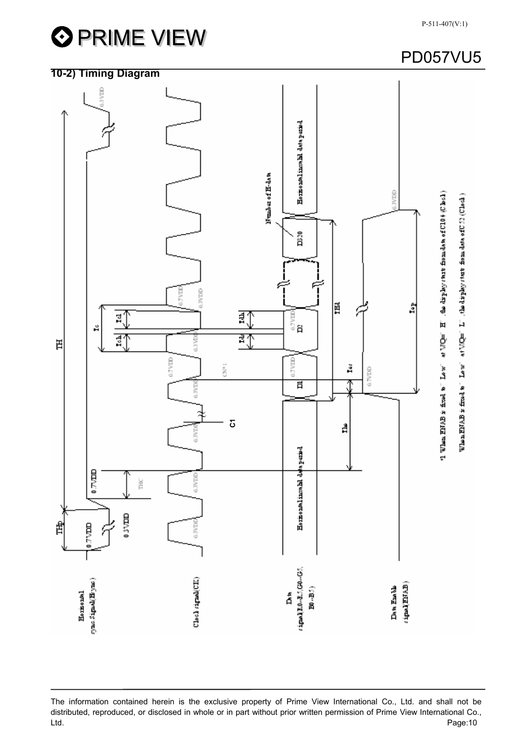



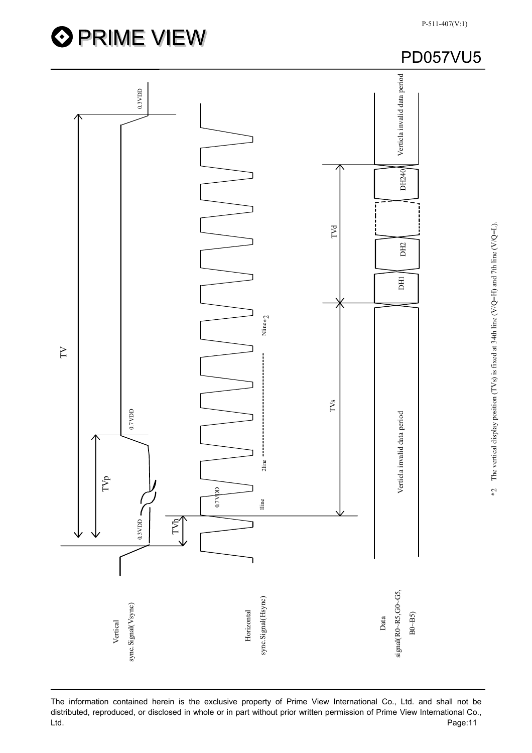



The information contained herein is the exclusive property of Prime View International Co., Ltd. and shall not be distributed, reproduced, or disclosed in whole or in part without prior written permission of Prime View International Co.,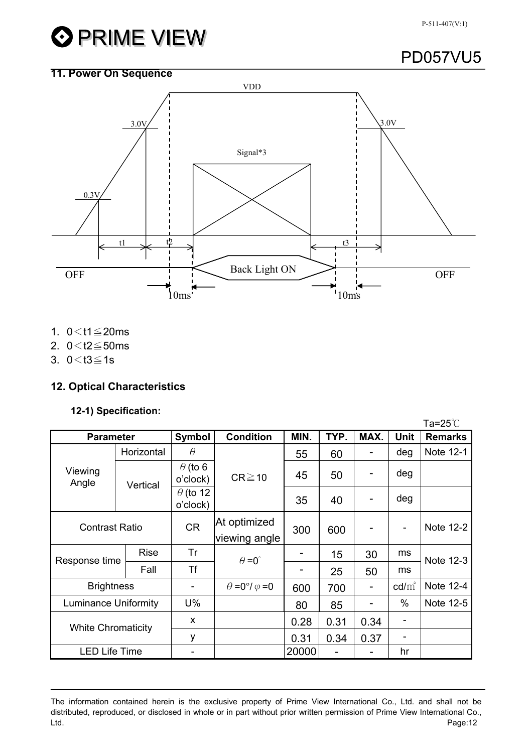#### P-511-407(V:1)

# **OPRIME VIEW**

# PD057VU5

# **11. Power On Sequence**  VDD 3.0V 3.0V Signal\*3 0.3V t1  $\downarrow$  t2  $\downarrow$  t3 → OFF Back Light ON 10ms 10ms

- 1.  $0 < t1 \leq 20$ ms
- 2.  $0 < t2 \le 50$ ms
- 3.  $0 < t3 \le 1s$

## **12. Optical Characteristics**

## **12-1) Specification:**

|                             |             |                             |                                  |       |                |      |                 | Ta=25 $^{\circ}$ C |
|-----------------------------|-------------|-----------------------------|----------------------------------|-------|----------------|------|-----------------|--------------------|
| <b>Parameter</b>            |             | Symbol                      | <b>Condition</b>                 | MIN.  | TYP.           | MAX. | <b>Unit</b>     | <b>Remarks</b>     |
|                             | Horizontal  | $\theta$                    |                                  | 55    | 60             |      | deg             | Note 12-1          |
| Viewing<br>Angle            | Vertical    | $\theta$ (to 6<br>o'clock)  | $CR \ge 10$                      | 45    | 50             |      | deg             |                    |
|                             |             | $\theta$ (to 12<br>o'clock) |                                  | 35    | 40             |      | deg             |                    |
| <b>Contrast Ratio</b>       |             | <b>CR</b>                   | At optimized<br>viewing angle    | 300   | 600            |      |                 | Note 12-2          |
|                             | <b>Rise</b> | Tr                          | $\theta = 0^{\circ}$             |       | 15             | 30   | ms              | Note 12-3          |
| Response time               | Fall        | Tf                          |                                  |       | 25             | 50   | ms              |                    |
| <b>Brightness</b>           |             |                             | $\theta = 0^{\circ}/\varphi = 0$ | 600   | 700            |      | $\text{cd/m}^2$ | Note 12-4          |
| <b>Luminance Uniformity</b> |             | U%                          |                                  | 80    | 85             |      | $\%$            | Note 12-5          |
| <b>White Chromaticity</b>   |             | X                           |                                  | 0.28  | 0.31           | 0.34 |                 |                    |
|                             |             | у                           |                                  | 0.31  | 0.34           | 0.37 |                 |                    |
| <b>LED Life Time</b>        |             |                             |                                  | 20000 | $\overline{a}$ |      | hr              |                    |

The information contained herein is the exclusive property of Prime View International Co., Ltd. and shall not be distributed, reproduced, or disclosed in whole or in part without prior written permission of Prime View International Co., Ltd. Page:12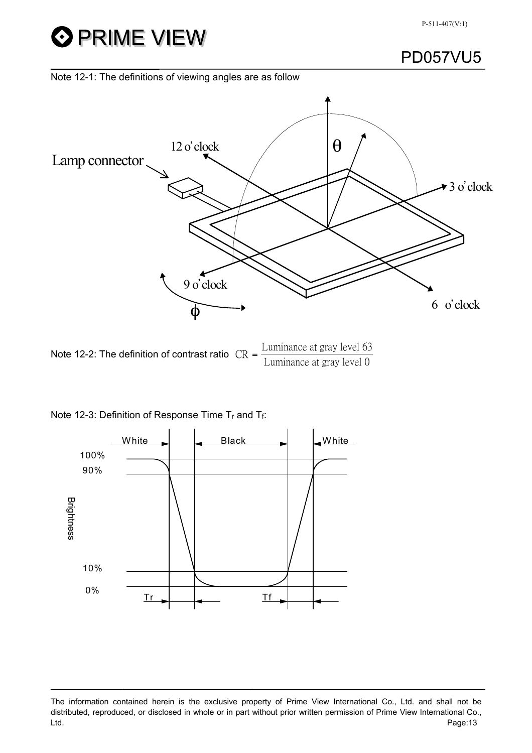

#### Note 12-1: The definitions of viewing angles are as follow



Note 12-2: The definition of contrast ratio  $CR = \frac{Luminance}{I}$   $\frac{d}{dt}$   $\frac{d}{dt}$ Luminance at gray level 0

| Note 12-3: Definition of Response Time Tr and Tf: |  |
|---------------------------------------------------|--|
|---------------------------------------------------|--|



The information contained herein is the exclusive property of Prime View International Co., Ltd. and shall not be distributed, reproduced, or disclosed in whole or in part without prior written permission of Prime View International Co., Ltd. Page:13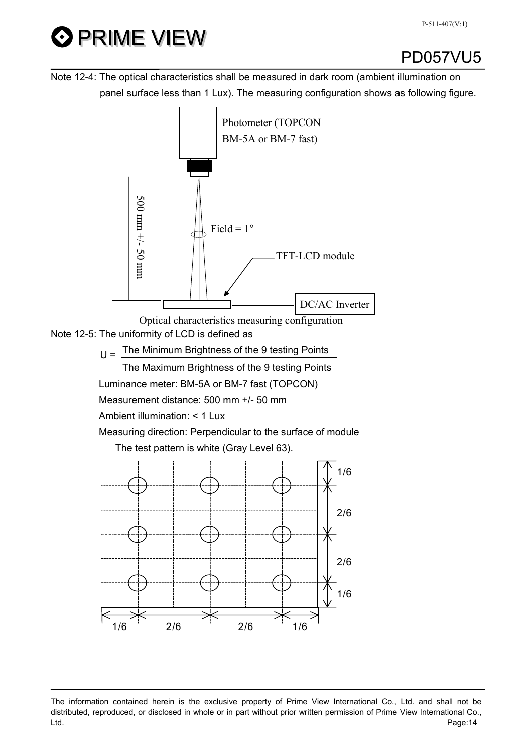# **O PRIME VIEW**

## PD057VU5

Note 12-4: The optical characteristics shall be measured in dark room (ambient illumination on panel surface less than 1 Lux). The measuring configuration shows as following figure.



Note 12-5: The uniformity of LCD is defined as Optical characteristics measuring configuration

 $U =$  The Minimum Brightness of the 9 testing Points

The Maximum Brightness of the 9 testing Points

Luminance meter: BM-5A or BM-7 fast (TOPCON)

Measurement distance: 500 mm +/- 50 mm

Ambient illumination: < 1 Lux

 Measuring direction: Perpendicular to the surface of module The test pattern is white (Gray Level 63).

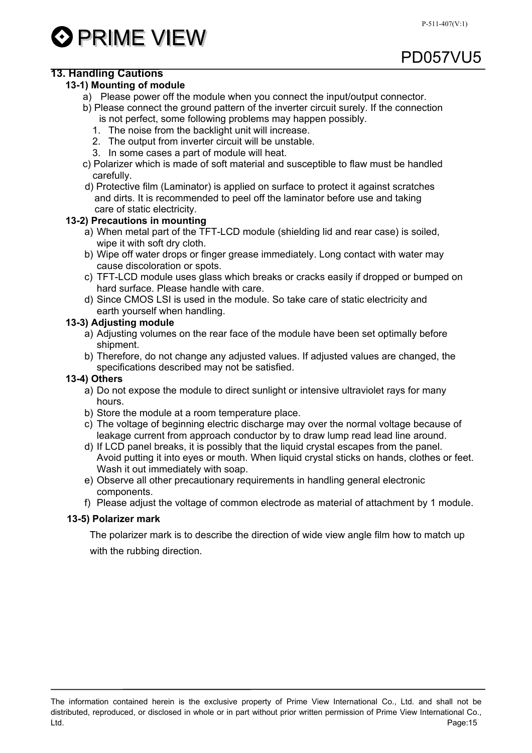

## **13. Handling Cautions**

#### **13-1) Mounting of module**

- a) Please power off the module when you connect the input/output connector.
- b) Please connect the ground pattern of the inverter circuit surely. If the connection is not perfect, some following problems may happen possibly.
	- 1. The noise from the backlight unit will increase.
	- 2. The output from inverter circuit will be unstable.
	- 3. In some cases a part of module will heat.
- c) Polarizer which is made of soft material and susceptible to flaw must be handled carefully.
- d) Protective film (Laminator) is applied on surface to protect it against scratches and dirts. It is recommended to peel off the laminator before use and taking care of static electricity.

#### **13-2) Precautions in mounting**

- a) When metal part of the TFT-LCD module (shielding lid and rear case) is soiled, wipe it with soft dry cloth.
- b) Wipe off water drops or finger grease immediately. Long contact with water may cause discoloration or spots.
- c) TFT-LCD module uses glass which breaks or cracks easily if dropped or bumped on hard surface. Please handle with care.
- d) Since CMOS LSI is used in the module. So take care of static electricity and earth yourself when handling.

#### **13-3) Adjusting module**

- a) Adjusting volumes on the rear face of the module have been set optimally before shipment.
- b) Therefore, do not change any adjusted values. If adjusted values are changed, the specifications described may not be satisfied.

#### **13-4) Others**

- a) Do not expose the module to direct sunlight or intensive ultraviolet rays for many hours.
- b) Store the module at a room temperature place.
- c) The voltage of beginning electric discharge may over the normal voltage because of leakage current from approach conductor by to draw lump read lead line around.
- d) If LCD panel breaks, it is possibly that the liquid crystal escapes from the panel. Avoid putting it into eyes or mouth. When liquid crystal sticks on hands, clothes or feet. Wash it out immediately with soap.
- e) Observe all other precautionary requirements in handling general electronic components.
- f) Please adjust the voltage of common electrode as material of attachment by 1 module.

#### **13-5) Polarizer mark**

 The polarizer mark is to describe the direction of wide view angle film how to match up with the rubbing direction.

The information contained herein is the exclusive property of Prime View International Co., Ltd. and shall not be distributed, reproduced, or disclosed in whole or in part without prior written permission of Prime View International Co., Ltd. Page:15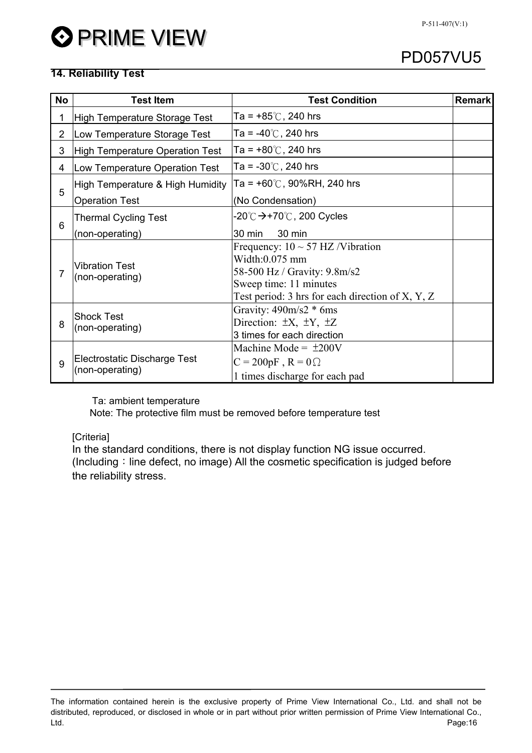## **14. Reliability Test**

| No             | <b>Test Item</b>                                | <b>Test Condition</b>                                                                                                                                                    | <b>Remark</b> |
|----------------|-------------------------------------------------|--------------------------------------------------------------------------------------------------------------------------------------------------------------------------|---------------|
| 1              | <b>High Temperature Storage Test</b>            | Ta = +85 $\degree$ C, 240 hrs                                                                                                                                            |               |
| $\overline{2}$ | Low Temperature Storage Test                    | Ta = -40 $\degree$ C, 240 hrs                                                                                                                                            |               |
| 3              | High Temperature Operation Test                 | Ta = $+80^{\circ}$ C, 240 hrs                                                                                                                                            |               |
| 4              | Low Temperature Operation Test                  | Ta = $-30^{\circ}$ C, 240 hrs                                                                                                                                            |               |
| 5              | High Temperature & High Humidity                | Ta = $+60^{\circ}$ C, 90%RH, 240 hrs                                                                                                                                     |               |
|                | <b>Operation Test</b>                           | (No Condensation)                                                                                                                                                        |               |
| 6              | <b>Thermal Cycling Test</b>                     | -20℃ <del>&gt;</del> +70℃, 200 Cycles                                                                                                                                    |               |
|                | (non-operating)                                 | 30 min<br>30 min                                                                                                                                                         |               |
| 7              | <b>Vibration Test</b><br>(non-operating)        | Frequency: $10 \sim 57$ HZ/Vibration<br>$Width:0.075$ mm<br>58-500 Hz / Gravity: 9.8m/s2<br>Sweep time: 11 minutes<br>Test period: 3 hrs for each direction of $X, Y, Z$ |               |
| 8              | <b>Shock Test</b><br>(non-operating)            | Gravity: $490m/s2 * 6ms$<br>Direction: $\pm X$ , $\pm Y$ , $\pm Z$<br>3 times for each direction                                                                         |               |
| 9              | Electrostatic Discharge Test<br>(non-operating) | Machine Mode = $\pm 200V$<br>$C = 200pF$ , $R = 0$<br>1 times discharge for each pad                                                                                     |               |

Ta: ambient temperature

Note: The protective film must be removed before temperature test

[Criteria]

In the standard conditions, there is not display function NG issue occurred. (Including: line defect, no image) All the cosmetic specification is judged before the reliability stress.

The information contained herein is the exclusive property of Prime View International Co., Ltd. and shall not be distributed, reproduced, or disclosed in whole or in part without prior written permission of Prime View International Co., Ltd. Page:16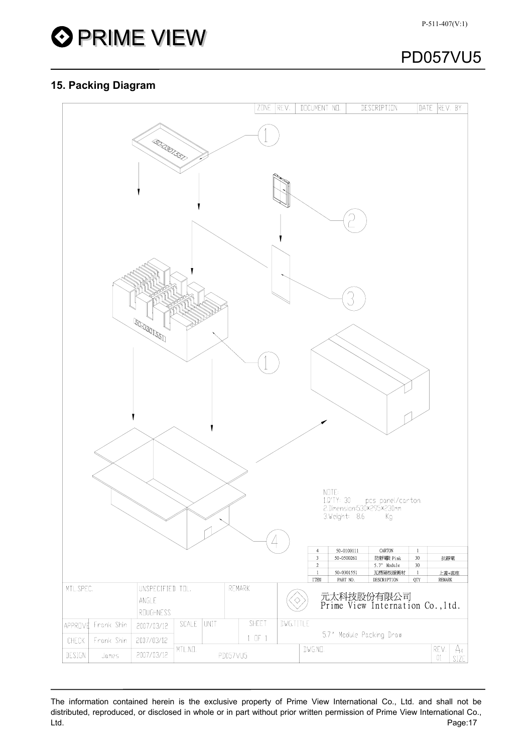

## **15. Packing Diagram**



The information contained herein is the exclusive property of Prime View International Co., Ltd. and shall not be distributed, reproduced, or disclosed in whole or in part without prior written permission of Prime View International Co., Ltd. Page:17